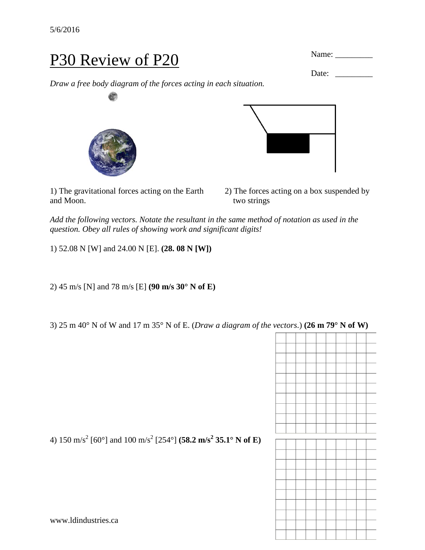## P30 Review of P20

*Draw a free body diagram of the forces acting in each situation.*

1) The gravitational forces acting on the Earth 2) The forces acting on a box suspended by and Moon. two strings

*Add the following vectors. Notate the resultant in the same method of notation as used in the question. Obey all rules of showing work and significant digits!*

1) 52.08 N [W] and 24.00 N [E]. **(28. 08 N [W])**

2) 45 m/s [N] and 78 m/s [E] **(90 m/s 30° N of E)**

3) 25 m 40° N of W and 17 m 35° N of E. (*Draw a diagram of the vectors*.) **(26 m 79° N of W)**





4) 150 m/s<sup>2</sup> [60°] and 100 m/s<sup>2</sup> [254°] **(58.2 m/s<sup>2</sup> 35.1° N of E)**



Name: \_\_\_\_\_\_\_\_\_

Date: